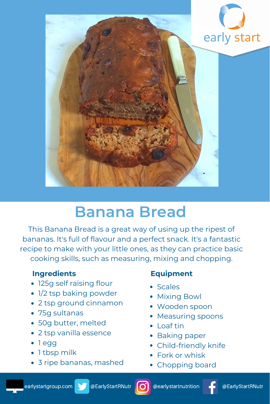

# **Banana Bread**

This Banana Bread is a great way of using up the ripest of bananas. It's full of flavour and a perfect snack. It's a fantastic recipe to make with your little ones, as they can practice basic cooking skills, such as measuring, mixing and chopping.

## **Ingredients**

- 125g self raising flour
- 1/2 tsp baking powder
- 2 tsp ground cinnamon
- 75g sultanas
- 50g butter, melted
- 2 tsp vanilla essence
- 1 egg
- 1 tbsp milk
- 3 ripe bananas, mashed

### **Equipment**

- **Scales**
- Mixing Bowl
- Wooden spoon
- Measuring spoons
- Loaf tin
- Baking paper
- Child-friendly knife
- Fork or whisk
- Chopping board



@EarlyStartRNutr